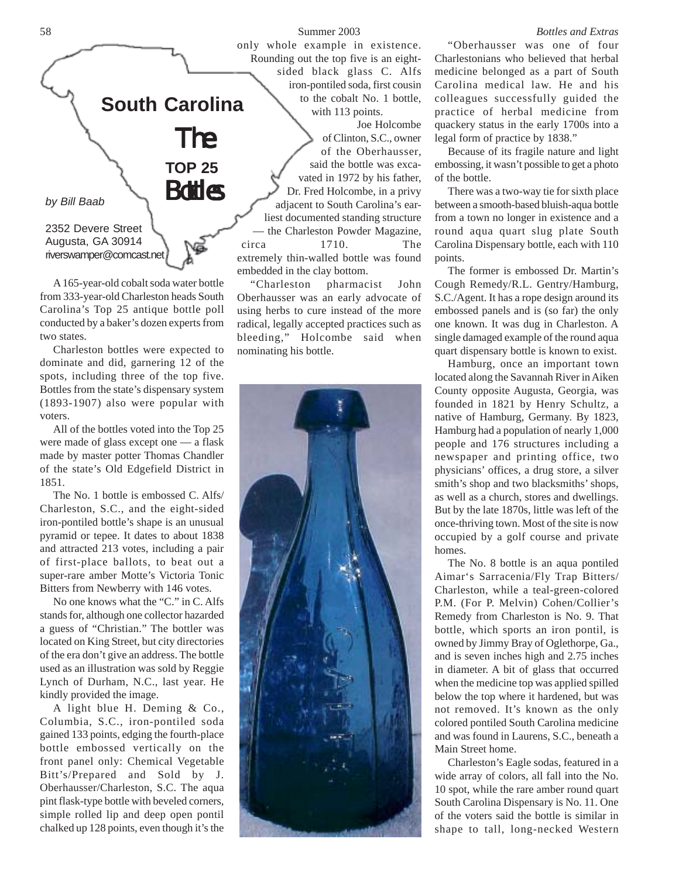

A 165-year-old cobalt soda water bottle from 333-year-old Charleston heads South Carolina's Top 25 antique bottle poll conducted by a baker's dozen experts from two states.

Charleston bottles were expected to dominate and did, garnering 12 of the spots, including three of the top five. Bottles from the state's dispensary system (1893-1907) also were popular with voters.

All of the bottles voted into the Top 25 were made of glass except one — a flask made by master potter Thomas Chandler of the state's Old Edgefield District in 1851.

The No. 1 bottle is embossed C. Alfs/ Charleston, S.C., and the eight-sided iron-pontiled bottle's shape is an unusual pyramid or tepee. It dates to about 1838 and attracted 213 votes, including a pair of first-place ballots, to beat out a super-rare amber Motte's Victoria Tonic Bitters from Newberry with 146 votes.

No one knows what the "C." in C. Alfs stands for, although one collector hazarded a guess of "Christian." The bottler was located on King Street, but city directories of the era don't give an address. The bottle used as an illustration was sold by Reggie Lynch of Durham, N.C., last year. He kindly provided the image.

A light blue H. Deming & Co., Columbia, S.C., iron-pontiled soda gained 133 points, edging the fourth-place bottle embossed vertically on the front panel only: Chemical Vegetable Bitt's/Prepared and Sold by J. Oberhausser/Charleston, S.C. The aqua pint flask-type bottle with beveled corners, simple rolled lip and deep open pontil chalked up 128 points, even though it's the

58 Summer 2003 *Bottles and Extras* only whole example in existence. Rounding out the top five is an eightsided black glass C. Alfs iron-pontiled soda, first cousin to the cobalt No. 1 bottle,

with 113 points. Joe Holcombe

of Clinton, S.C., owner of the Oberhausser, said the bottle was excavated in 1972 by his father, Dr. Fred Holcombe, in a privy adjacent to South Carolina's earliest documented standing structure the Charleston Powder Magazine, circa 1710. The extremely thin-walled bottle was found embedded in the clay bottom.

"Charleston pharmacist John Oberhausser was an early advocate of using herbs to cure instead of the more radical, legally accepted practices such as bleeding," Holcombe said when nominating his bottle.



"Oberhausser was one of four Charlestonians who believed that herbal medicine belonged as a part of South Carolina medical law. He and his colleagues successfully guided the practice of herbal medicine from quackery status in the early 1700s into a legal form of practice by 1838."

Because of its fragile nature and light embossing, it wasn't possible to get a photo of the bottle.

There was a two-way tie for sixth place between a smooth-based bluish-aqua bottle from a town no longer in existence and a round aqua quart slug plate South Carolina Dispensary bottle, each with 110 points.

The former is embossed Dr. Martin's Cough Remedy/R.L. Gentry/Hamburg, S.C./Agent. It has a rope design around its embossed panels and is (so far) the only one known. It was dug in Charleston. A single damaged example of the round aqua quart dispensary bottle is known to exist.

Hamburg, once an important town located along the Savannah River in Aiken County opposite Augusta, Georgia, was founded in 1821 by Henry Schultz, a native of Hamburg, Germany. By 1823, Hamburg had a population of nearly 1,000 people and 176 structures including a newspaper and printing office, two physicians' offices, a drug store, a silver smith's shop and two blacksmiths' shops, as well as a church, stores and dwellings. But by the late 1870s, little was left of the once-thriving town. Most of the site is now occupied by a golf course and private homes.

The No. 8 bottle is an aqua pontiled Aimar's Sarracenia/Fly Trap Bitters/ Charleston, while a teal-green-colored P.M. (For P. Melvin) Cohen/Collier's Remedy from Charleston is No. 9. That bottle, which sports an iron pontil, is owned by Jimmy Bray of Oglethorpe, Ga., and is seven inches high and 2.75 inches in diameter. A bit of glass that occurred when the medicine top was applied spilled below the top where it hardened, but was not removed. It's known as the only colored pontiled South Carolina medicine and was found in Laurens, S.C., beneath a Main Street home.

Charleston's Eagle sodas, featured in a wide array of colors, all fall into the No. 10 spot, while the rare amber round quart South Carolina Dispensary is No. 11. One of the voters said the bottle is similar in shape to tall, long-necked Western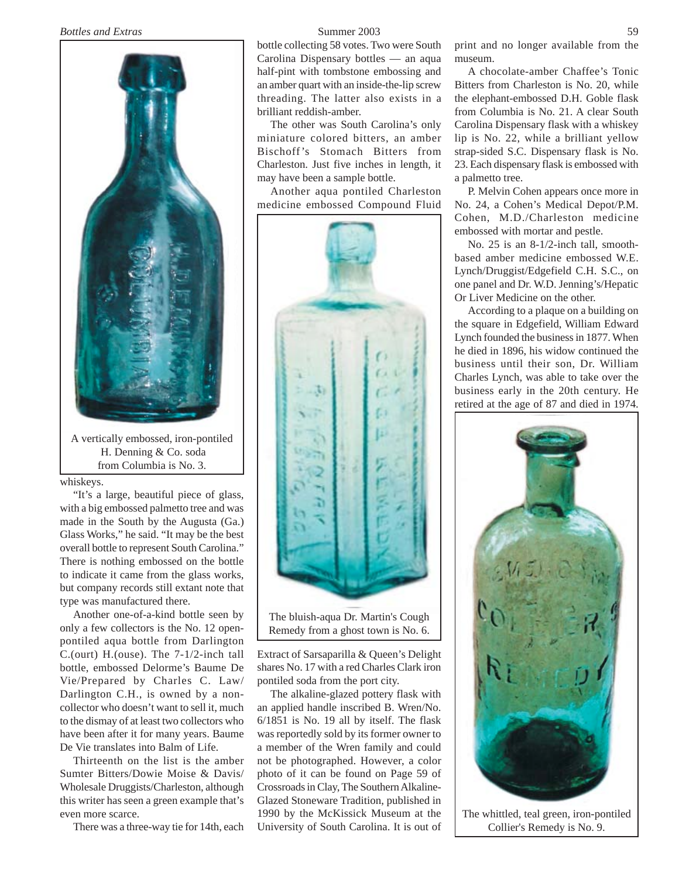

A vertically embossed, iron-pontiled H. Denning & Co. soda from Columbia is No. 3.

whiskeys.

"It's a large, beautiful piece of glass, with a big embossed palmetto tree and was made in the South by the Augusta (Ga.) Glass Works," he said. "It may be the best overall bottle to represent South Carolina." There is nothing embossed on the bottle to indicate it came from the glass works, but company records still extant note that type was manufactured there.

Another one-of-a-kind bottle seen by only a few collectors is the No. 12 openpontiled aqua bottle from Darlington C.(ourt) H.(ouse). The 7-1/2-inch tall bottle, embossed Delorme's Baume De Vie/Prepared by Charles C. Law/ Darlington C.H., is owned by a noncollector who doesn't want to sell it, much to the dismay of at least two collectors who have been after it for many years. Baume De Vie translates into Balm of Life.

Thirteenth on the list is the amber Sumter Bitters/Dowie Moise & Davis/ Wholesale Druggists/Charleston, although this writer has seen a green example that's even more scarce.

There was a three-way tie for 14th, each

bottle collecting 58 votes. Two were South Carolina Dispensary bottles — an aqua half-pint with tombstone embossing and an amber quart with an inside-the-lip screw threading. The latter also exists in a brilliant reddish-amber.

The other was South Carolina's only miniature colored bitters, an amber Bischoff's Stomach Bitters from Charleston. Just five inches in length, it may have been a sample bottle.

Another aqua pontiled Charleston medicine embossed Compound Fluid



The bluish-aqua Dr. Martin's Cough Remedy from a ghost town is No. 6.

Extract of Sarsaparilla & Queen's Delight shares No. 17 with a red Charles Clark iron pontiled soda from the port city.

The alkaline-glazed pottery flask with an applied handle inscribed B. Wren/No. 6/1851 is No. 19 all by itself. The flask was reportedly sold by its former owner to a member of the Wren family and could not be photographed. However, a color photo of it can be found on Page 59 of Crossroads in Clay, The Southern Alkaline-Glazed Stoneware Tradition, published in 1990 by the McKissick Museum at the University of South Carolina. It is out of print and no longer available from the museum.

A chocolate-amber Chaffee's Tonic Bitters from Charleston is No. 20, while the elephant-embossed D.H. Goble flask from Columbia is No. 21. A clear South Carolina Dispensary flask with a whiskey lip is No. 22, while a brilliant yellow strap-sided S.C. Dispensary flask is No. 23. Each dispensary flask is embossed with a palmetto tree.

P. Melvin Cohen appears once more in No. 24, a Cohen's Medical Depot/P.M. Cohen, M.D./Charleston medicine embossed with mortar and pestle.

No. 25 is an 8-1/2-inch tall, smoothbased amber medicine embossed W.E. Lynch/Druggist/Edgefield C.H. S.C., on one panel and Dr. W.D. Jenning's/Hepatic Or Liver Medicine on the other.

According to a plaque on a building on the square in Edgefield, William Edward Lynch founded the business in 1877. When he died in 1896, his widow continued the business until their son, Dr. William Charles Lynch, was able to take over the business early in the 20th century. He retired at the age of 87 and died in 1974.

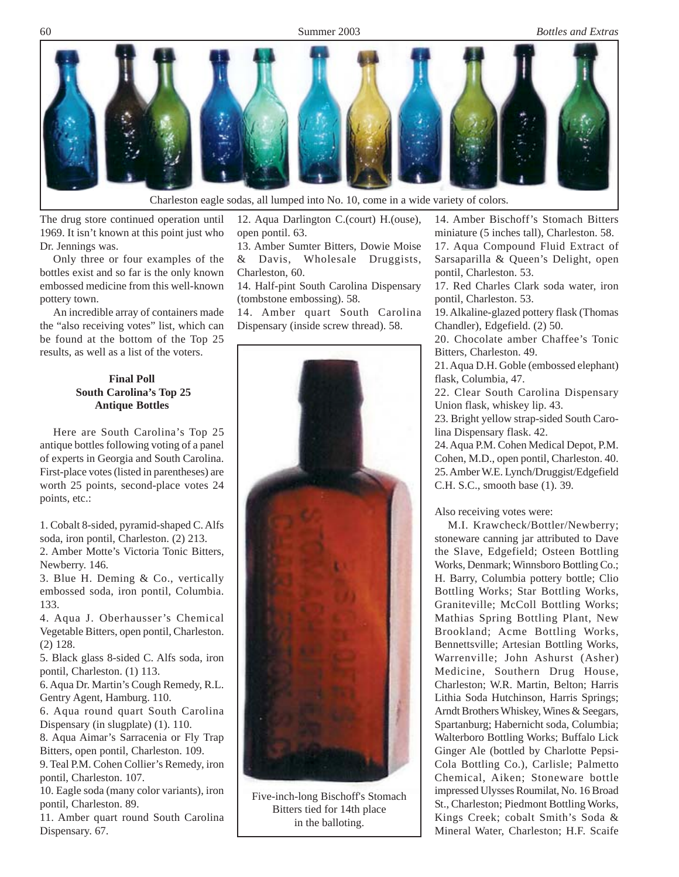

The drug store continued operation until 1969. It isn't known at this point just who Dr. Jennings was.

Only three or four examples of the bottles exist and so far is the only known embossed medicine from this well-known pottery town.

An incredible array of containers made the "also receiving votes" list, which can be found at the bottom of the Top 25 results, as well as a list of the voters.

## **Final Poll South Carolina's Top 25 Antique Bottles**

Here are South Carolina's Top 25 antique bottles following voting of a panel of experts in Georgia and South Carolina. First-place votes (listed in parentheses) are worth 25 points, second-place votes 24 points, etc.:

1. Cobalt 8-sided, pyramid-shaped C. Alfs soda, iron pontil, Charleston. (2) 213.

2. Amber Motte's Victoria Tonic Bitters, Newberry. 146.

3. Blue H. Deming & Co., vertically embossed soda, iron pontil, Columbia. 133.

4. Aqua J. Oberhausser's Chemical Vegetable Bitters, open pontil, Charleston. (2) 128.

5. Black glass 8-sided C. Alfs soda, iron pontil, Charleston. (1) 113.

6. Aqua Dr. Martin's Cough Remedy, R.L. Gentry Agent, Hamburg. 110.

6. Aqua round quart South Carolina Dispensary (in slugplate) (1). 110.

8. Aqua Aimar's Sarracenia or Fly Trap Bitters, open pontil, Charleston. 109.

9. Teal P.M. Cohen Collier's Remedy, iron pontil, Charleston. 107.

10. Eagle soda (many color variants), iron pontil, Charleston. 89.

11. Amber quart round South Carolina Dispensary. 67.

12. Aqua Darlington C.(court) H.(ouse), open pontil. 63.

13. Amber Sumter Bitters, Dowie Moise & Davis, Wholesale Druggists,

Charleston, 60. 14. Half-pint South Carolina Dispensary (tombstone embossing). 58.

14. Amber quart South Carolina Dispensary (inside screw thread). 58.



Five-inch-long Bischoff's Stomach Bitters tied for 14th place in the balloting.

14. Amber Bischoff's Stomach Bitters miniature (5 inches tall), Charleston. 58. 17. Aqua Compound Fluid Extract of Sarsaparilla & Queen's Delight, open pontil, Charleston. 53.

17. Red Charles Clark soda water, iron pontil, Charleston. 53.

19. Alkaline-glazed pottery flask (Thomas Chandler), Edgefield. (2) 50.

20. Chocolate amber Chaffee's Tonic Bitters, Charleston. 49.

21. Aqua D.H. Goble (embossed elephant) flask, Columbia, 47.

22. Clear South Carolina Dispensary Union flask, whiskey lip. 43.

23. Bright yellow strap-sided South Carolina Dispensary flask. 42.

24. Aqua P.M. Cohen Medical Depot, P.M. Cohen, M.D., open pontil, Charleston. 40. 25. Amber W.E. Lynch/Druggist/Edgefield C.H. S.C., smooth base (1). 39.

Also receiving votes were:

M.I. Krawcheck/Bottler/Newberry; stoneware canning jar attributed to Dave the Slave, Edgefield; Osteen Bottling Works, Denmark; Winnsboro Bottling Co.; H. Barry, Columbia pottery bottle; Clio Bottling Works; Star Bottling Works, Graniteville; McColl Bottling Works; Mathias Spring Bottling Plant, New Brookland; Acme Bottling Works, Bennettsville; Artesian Bottling Works, Warrenville; John Ashurst (Asher) Medicine, Southern Drug House, Charleston; W.R. Martin, Belton; Harris Lithia Soda Hutchinson, Harris Springs; Arndt Brothers Whiskey, Wines & Seegars, Spartanburg; Habernicht soda, Columbia; Walterboro Bottling Works; Buffalo Lick Ginger Ale (bottled by Charlotte Pepsi-Cola Bottling Co.), Carlisle; Palmetto Chemical, Aiken; Stoneware bottle impressed Ulysses Roumilat, No. 16 Broad St., Charleston; Piedmont Bottling Works, Kings Creek; cobalt Smith's Soda & Mineral Water, Charleston; H.F. Scaife